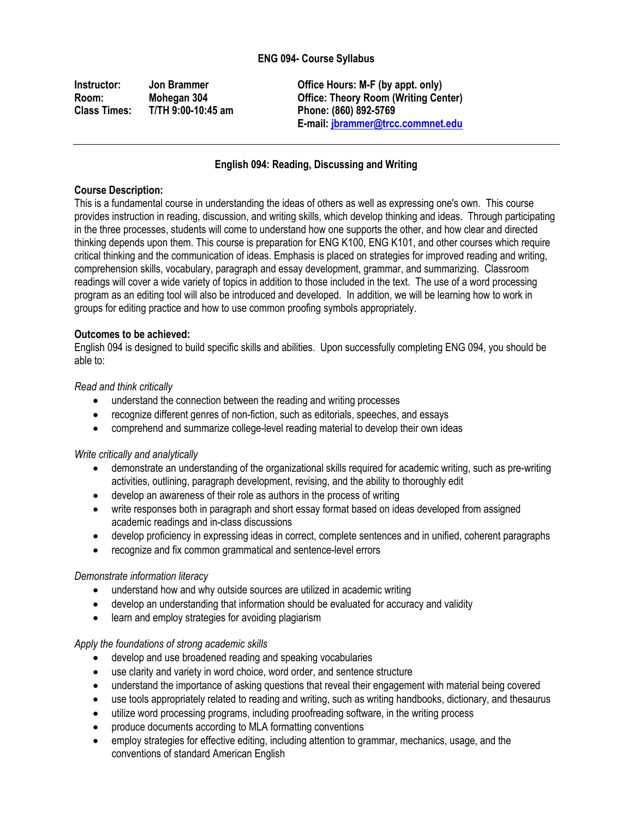# **ENG 094- Course Syllabus**

**Class Times: T/TH 9:00-10:45 am Phone: (860) 892-5769**

**Instructor: Jon Brammer Office Hours: M-F (by appt. only) Room: Mohegan 304 Office: Theory Room (Writing Center) E-mail[: jbrammer@trcc.commnet.edu](mailto:jbrammer@trcc.commnet.edu)**

# **English 094: Reading, Discussing and Writing**

#### **Course Description:**

This is a fundamental course in understanding the ideas of others as well as expressing one's own. This course provides instruction in reading, discussion, and writing skills, which develop thinking and ideas. Through participating in the three processes, students will come to understand how one supports the other, and how clear and directed thinking depends upon them. This course is preparation for ENG K100, ENG K101, and other courses which require critical thinking and the communication of ideas. Emphasis is placed on strategies for improved reading and writing, comprehension skills, vocabulary, paragraph and essay development, grammar, and summarizing. Classroom readings will cover a wide variety of topics in addition to those included in the text. The use of a word processing program as an editing tool will also be introduced and developed. In addition, we will be learning how to work in groups for editing practice and how to use common proofing symbols appropriately.

#### **Outcomes to be achieved:**

English 094 is designed to build specific skills and abilities. Upon successfully completing ENG 094, you should be able to:

#### *Read and think critically*

- understand the connection between the reading and writing processes
- recognize different genres of non-fiction, such as editorials, speeches, and essays
- comprehend and summarize college-level reading material to develop their own ideas

#### *Write critically and analytically*

- demonstrate an understanding of the organizational skills required for academic writing, such as pre-writing activities, outlining, paragraph development, revising, and the ability to thoroughly edit
- develop an awareness of their role as authors in the process of writing
- write responses both in paragraph and short essay format based on ideas developed from assigned academic readings and in-class discussions
- develop proficiency in expressing ideas in correct, complete sentences and in unified, coherent paragraphs
- recognize and fix common grammatical and sentence-level errors

#### *Demonstrate information literacy*

- understand how and why outside sources are utilized in academic writing
- develop an understanding that information should be evaluated for accuracy and validity
- learn and employ strategies for avoiding plagiarism

#### *Apply the foundations of strong academic skills*

- develop and use broadened reading and speaking vocabularies
- use clarity and variety in word choice, word order, and sentence structure
- understand the importance of asking questions that reveal their engagement with material being covered
- use tools appropriately related to reading and writing, such as writing handbooks, dictionary, and thesaurus
- utilize word processing programs, including proofreading software, in the writing process
- produce documents according to MLA formatting conventions
- employ strategies for effective editing, including attention to grammar, mechanics, usage, and the conventions of standard American English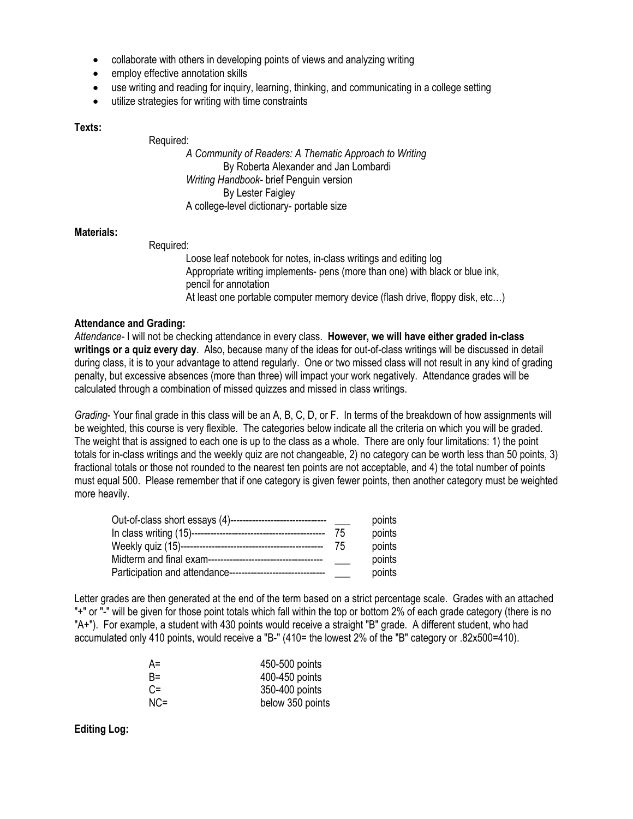- collaborate with others in developing points of views and analyzing writing
- employ effective annotation skills
- use writing and reading for inquiry, learning, thinking, and communicating in a college setting
- utilize strategies for writing with time constraints

# **Texts:**

Required:

*A Community of Readers: A Thematic Approach to Writing* By Roberta Alexander and Jan Lombardi *Writing Handbook-* brief Penguin version By Lester Faigley A college-level dictionary- portable size

## **Materials:**

Required:

Loose leaf notebook for notes, in-class writings and editing log Appropriate writing implements- pens (more than one) with black or blue ink, pencil for annotation At least one portable computer memory device (flash drive, floppy disk, etc…)

## **Attendance and Grading:**

*Attendance-* I will not be checking attendance in every class. **However, we will have either graded in-class writings or a quiz every day**. Also, because many of the ideas for out-of-class writings will be discussed in detail during class, it is to your advantage to attend regularly. One or two missed class will not result in any kind of grading penalty, but excessive absences (more than three) will impact your work negatively. Attendance grades will be calculated through a combination of missed quizzes and missed in class writings.

*Grading*- Your final grade in this class will be an A, B, C, D, or F. In terms of the breakdown of how assignments will be weighted, this course is very flexible. The categories below indicate all the criteria on which you will be graded. The weight that is assigned to each one is up to the class as a whole. There are only four limitations: 1) the point totals for in-class writings and the weekly quiz are not changeable, 2) no category can be worth less than 50 points, 3) fractional totals or those not rounded to the nearest ten points are not acceptable, and 4) the total number of points must equal 500. Please remember that if one category is given fewer points, then another category must be weighted more heavily.

| Out-of-class short essays (4)------------------------------- |    | points |
|--------------------------------------------------------------|----|--------|
|                                                              | 75 | points |
|                                                              | 75 | points |
|                                                              |    | points |
| Participation and attendance---------------------------      |    | points |

Letter grades are then generated at the end of the term based on a strict percentage scale. Grades with an attached "+" or "-" will be given for those point totals which fall within the top or bottom 2% of each grade category (there is no "A+"). For example, a student with 430 points would receive a straight "B" grade. A different student, who had accumulated only 410 points, would receive a "B-" (410= the lowest 2% of the "B" category or .82x500=410).

| A=  | 450-500 points   |
|-----|------------------|
| B=  | 400-450 points   |
| C=  | 350-400 points   |
| NC= | below 350 points |

**Editing Log:**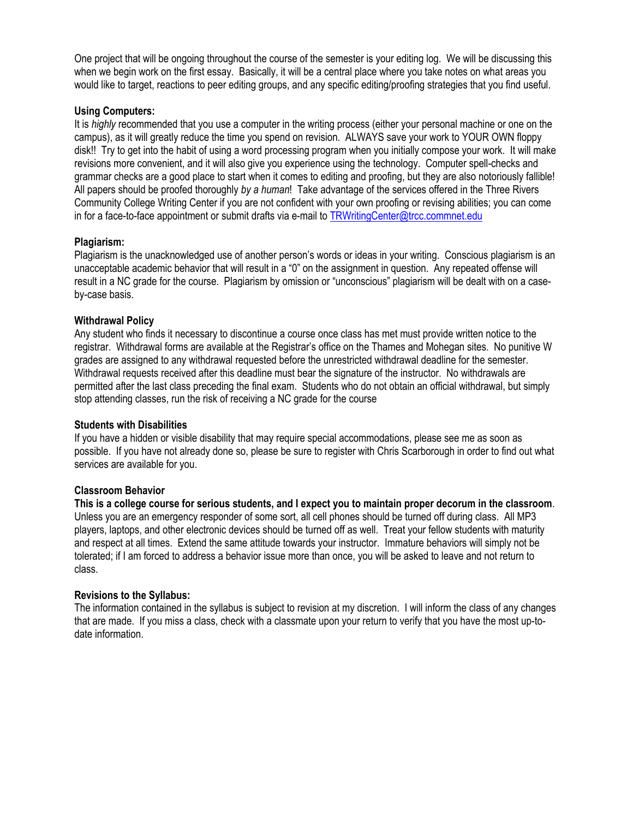One project that will be ongoing throughout the course of the semester is your editing log. We will be discussing this when we begin work on the first essay. Basically, it will be a central place where you take notes on what areas you would like to target, reactions to peer editing groups, and any specific editing/proofing strategies that you find useful.

# **Using Computers:**

It is *highly* recommended that you use a computer in the writing process (either your personal machine or one on the campus), as it will greatly reduce the time you spend on revision. ALWAYS save your work to YOUR OWN floppy disk!! Try to get into the habit of using a word processing program when you initially compose your work. It will make revisions more convenient, and it will also give you experience using the technology. Computer spell-checks and grammar checks are a good place to start when it comes to editing and proofing, but they are also notoriously fallible! All papers should be proofed thoroughly *by a human*! Take advantage of the services offered in the Three Rivers Community College Writing Center if you are not confident with your own proofing or revising abilities; you can come in for a face-to-face appointment or submit drafts via e-mail to **TRWritingCenter@trcc.commnet.edu** 

# **Plagiarism:**

Plagiarism is the unacknowledged use of another person's words or ideas in your writing. Conscious plagiarism is an unacceptable academic behavior that will result in a "0" on the assignment in question. Any repeated offense will result in a NC grade for the course. Plagiarism by omission or "unconscious" plagiarism will be dealt with on a caseby-case basis.

# **Withdrawal Policy**

Any student who finds it necessary to discontinue a course once class has met must provide written notice to the registrar. Withdrawal forms are available at the Registrar's office on the Thames and Mohegan sites. No punitive W grades are assigned to any withdrawal requested before the unrestricted withdrawal deadline for the semester. Withdrawal requests received after this deadline must bear the signature of the instructor. No withdrawals are permitted after the last class preceding the final exam. Students who do not obtain an official withdrawal, but simply stop attending classes, run the risk of receiving a NC grade for the course

## **Students with Disabilities**

If you have a hidden or visible disability that may require special accommodations, please see me as soon as possible. If you have not already done so, please be sure to register with Chris Scarborough in order to find out what services are available for you.

## **Classroom Behavior**

**This is a college course for serious students, and I expect you to maintain proper decorum in the classroom**. Unless you are an emergency responder of some sort, all cell phones should be turned off during class. All MP3 players, laptops, and other electronic devices should be turned off as well. Treat your fellow students with maturity and respect at all times. Extend the same attitude towards your instructor. Immature behaviors will simply not be tolerated; if I am forced to address a behavior issue more than once, you will be asked to leave and not return to class.

## **Revisions to the Syllabus:**

The information contained in the syllabus is subject to revision at my discretion. I will inform the class of any changes that are made. If you miss a class, check with a classmate upon your return to verify that you have the most up-todate information.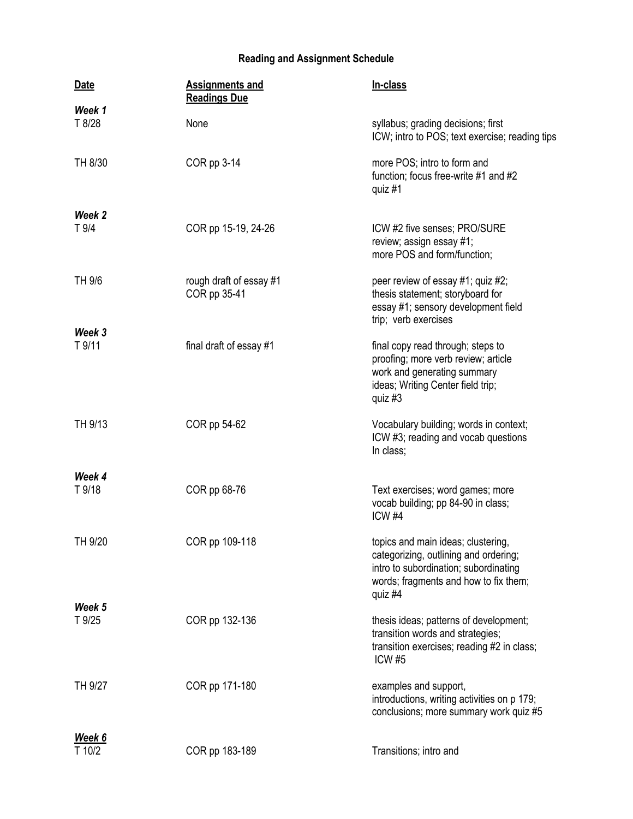# **Reading and Assignment Schedule**

| <b>Date</b>      | <b>Assignments and</b><br><b>Readings Due</b> | In-class                                                                                                                                                                 |
|------------------|-----------------------------------------------|--------------------------------------------------------------------------------------------------------------------------------------------------------------------------|
| Week 1           |                                               |                                                                                                                                                                          |
| T 8/28           | None                                          | syllabus; grading decisions; first<br>ICW; intro to POS; text exercise; reading tips                                                                                     |
| TH 8/30          | COR pp 3-14                                   | more POS; intro to form and<br>function; focus free-write #1 and #2<br>quiz #1                                                                                           |
| Week 2           |                                               |                                                                                                                                                                          |
| T 9/4            | COR pp 15-19, 24-26                           | ICW #2 five senses; PRO/SURE<br>review; assign essay #1;<br>more POS and form/function;                                                                                  |
| TH 9/6           | rough draft of essay #1<br>COR pp 35-41       | peer review of essay #1; quiz #2;<br>thesis statement; storyboard for<br>essay #1; sensory development field<br>trip; verb exercises                                     |
| Week 3<br>T 9/11 | final draft of essay #1                       | final copy read through; steps to<br>proofing; more verb review; article<br>work and generating summary<br>ideas; Writing Center field trip;<br>quiz $#3$                |
| TH 9/13          | COR pp 54-62                                  | Vocabulary building; words in context;<br>ICW #3; reading and vocab questions<br>In class;                                                                               |
| Week 4           |                                               |                                                                                                                                                                          |
| T 9/18           | COR pp 68-76                                  | Text exercises; word games; more<br>vocab building; pp 84-90 in class;<br>ICW <sub>#4</sub>                                                                              |
| TH 9/20          | COR pp 109-118                                | topics and main ideas; clustering,<br>categorizing, outlining and ordering;<br>intro to subordination; subordinating<br>words; fragments and how to fix them;<br>quiz #4 |
| Week 5<br>T 9/25 | COR pp 132-136                                | thesis ideas; patterns of development;<br>transition words and strategies;<br>transition exercises; reading #2 in class;<br><b>ICW #5</b>                                |
| TH 9/27          | COR pp 171-180                                | examples and support,<br>introductions, writing activities on p 179;<br>conclusions; more summary work quiz #5                                                           |
| Week 6           |                                               |                                                                                                                                                                          |
| T 10/2           | COR pp 183-189                                | Transitions; intro and                                                                                                                                                   |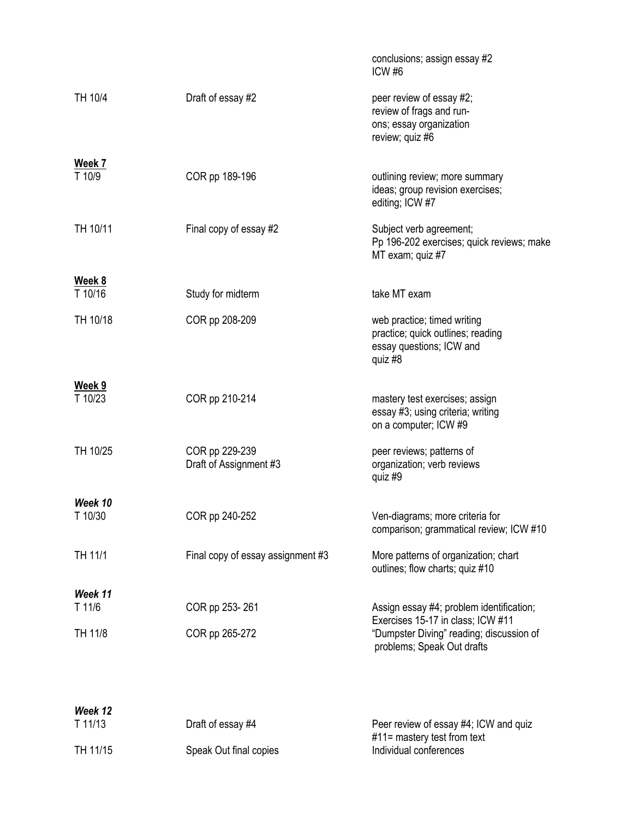|                                 |                                          | conclusions; assign essay #2<br>ICW <sub>#6</sub>                                                           |
|---------------------------------|------------------------------------------|-------------------------------------------------------------------------------------------------------------|
| TH 10/4                         | Draft of essay #2                        | peer review of essay #2;<br>review of frags and run-<br>ons; essay organization<br>review; quiz #6          |
| $\frac{\text{Week } 7}{T 10/9}$ | COR pp 189-196                           | outlining review; more summary<br>ideas; group revision exercises;<br>editing; ICW #7                       |
| TH 10/11                        | Final copy of essay #2                   | Subject verb agreement;<br>Pp 196-202 exercises; quick reviews; make<br>MT exam; quiz #7                    |
| Week 8                          |                                          |                                                                                                             |
| T 10/16                         | Study for midterm                        | take MT exam                                                                                                |
| TH 10/18                        | COR pp 208-209                           | web practice; timed writing<br>practice; quick outlines; reading<br>essay questions; ICW and<br>quiz #8     |
| Week 9<br>T 10/23               | COR pp 210-214                           | mastery test exercises; assign<br>essay #3; using criteria; writing<br>on a computer; ICW #9                |
| TH 10/25                        | COR pp 229-239<br>Draft of Assignment #3 | peer reviews; patterns of<br>organization; verb reviews<br>quiz #9                                          |
| Week 10                         |                                          |                                                                                                             |
| T 10/30                         | COR pp 240-252                           | Ven-diagrams; more criteria for<br>comparison; grammatical review; ICW #10                                  |
| TH 11/1                         | Final copy of essay assignment #3        | More patterns of organization; chart<br>outlines; flow charts; quiz #10                                     |
| Week 11                         |                                          |                                                                                                             |
| T 11/6                          | COR pp 253-261                           | Assign essay #4; problem identification;                                                                    |
| TH 11/8                         | COR pp 265-272                           | Exercises 15-17 in class; ICW #11<br>"Dumpster Diving" reading; discussion of<br>problems; Speak Out drafts |
|                                 |                                          |                                                                                                             |
| Week 12                         |                                          |                                                                                                             |

| T 11/13  | Draft of essay #4      | Peer review of essay #4; ICW and quiz<br>$#11$ = mastery test from text |
|----------|------------------------|-------------------------------------------------------------------------|
| TH 11/15 | Speak Out final copies | Individual conferences                                                  |